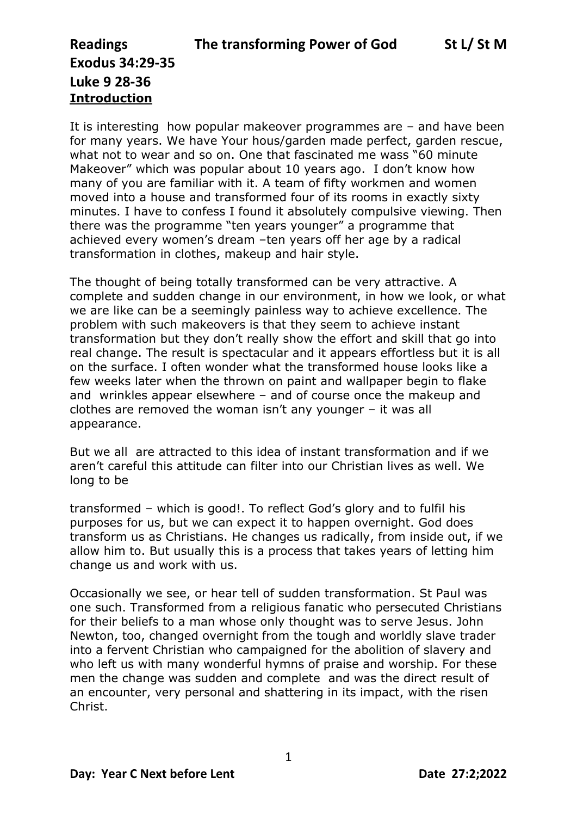### **Exodus 34:29-35 Luke 9 28-36 Introduction**

It is interesting how popular makeover programmes are – and have been for many years. We have Your hous/garden made perfect, garden rescue, what not to wear and so on. One that fascinated me wass "60 minute Makeover" which was popular about 10 years ago. I don't know how many of you are familiar with it. A team of fifty workmen and women moved into a house and transformed four of its rooms in exactly sixty minutes. I have to confess I found it absolutely compulsive viewing. Then there was the programme "ten years younger" a programme that achieved every women's dream –ten years off her age by a radical transformation in clothes, makeup and hair style.

The thought of being totally transformed can be very attractive. A complete and sudden change in our environment, in how we look, or what we are like can be a seemingly painless way to achieve excellence. The problem with such makeovers is that they seem to achieve instant transformation but they don't really show the effort and skill that go into real change. The result is spectacular and it appears effortless but it is all on the surface. I often wonder what the transformed house looks like a few weeks later when the thrown on paint and wallpaper begin to flake and wrinkles appear elsewhere – and of course once the makeup and clothes are removed the woman isn't any younger – it was all appearance.

But we all are attracted to this idea of instant transformation and if we aren't careful this attitude can filter into our Christian lives as well. We long to be

transformed – which is good!. To reflect God's glory and to fulfil his purposes for us, but we can expect it to happen overnight. God does transform us as Christians. He changes us radically, from inside out, if we allow him to. But usually this is a process that takes years of letting him change us and work with us.

Occasionally we see, or hear tell of sudden transformation. St Paul was one such. Transformed from a religious fanatic who persecuted Christians for their beliefs to a man whose only thought was to serve Jesus. John Newton, too, changed overnight from the tough and worldly slave trader into a fervent Christian who campaigned for the abolition of slavery and who left us with many wonderful hymns of praise and worship. For these men the change was sudden and complete and was the direct result of an encounter, very personal and shattering in its impact, with the risen Christ.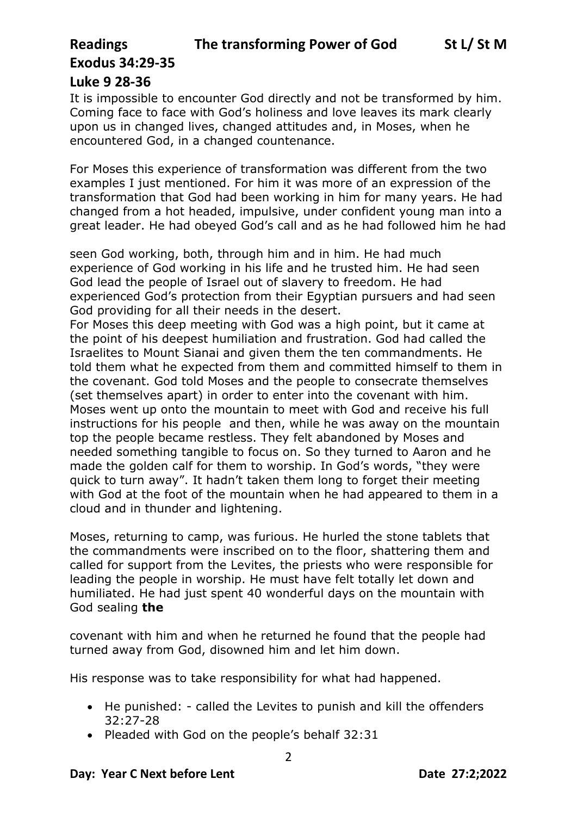## **Exodus 34:29-35**

#### **Luke 9 28-36**

It is impossible to encounter God directly and not be transformed by him. Coming face to face with God's holiness and love leaves its mark clearly upon us in changed lives, changed attitudes and, in Moses, when he encountered God, in a changed countenance.

For Moses this experience of transformation was different from the two examples I just mentioned. For him it was more of an expression of the transformation that God had been working in him for many years. He had changed from a hot headed, impulsive, under confident young man into a great leader. He had obeyed God's call and as he had followed him he had

seen God working, both, through him and in him. He had much experience of God working in his life and he trusted him. He had seen God lead the people of Israel out of slavery to freedom. He had experienced God's protection from their Egyptian pursuers and had seen God providing for all their needs in the desert.

For Moses this deep meeting with God was a high point, but it came at the point of his deepest humiliation and frustration. God had called the Israelites to Mount Sianai and given them the ten commandments. He told them what he expected from them and committed himself to them in the covenant. God told Moses and the people to consecrate themselves (set themselves apart) in order to enter into the covenant with him. Moses went up onto the mountain to meet with God and receive his full instructions for his people and then, while he was away on the mountain top the people became restless. They felt abandoned by Moses and needed something tangible to focus on. So they turned to Aaron and he made the golden calf for them to worship. In God's words, "they were quick to turn away". It hadn't taken them long to forget their meeting with God at the foot of the mountain when he had appeared to them in a cloud and in thunder and lightening.

Moses, returning to camp, was furious. He hurled the stone tablets that the commandments were inscribed on to the floor, shattering them and called for support from the Levites, the priests who were responsible for leading the people in worship. He must have felt totally let down and humiliated. He had just spent 40 wonderful days on the mountain with God sealing **the**

covenant with him and when he returned he found that the people had turned away from God, disowned him and let him down.

His response was to take responsibility for what had happened.

- He punished: called the Levites to punish and kill the offenders 32:27-28
- Pleaded with God on the people's behalf 32:31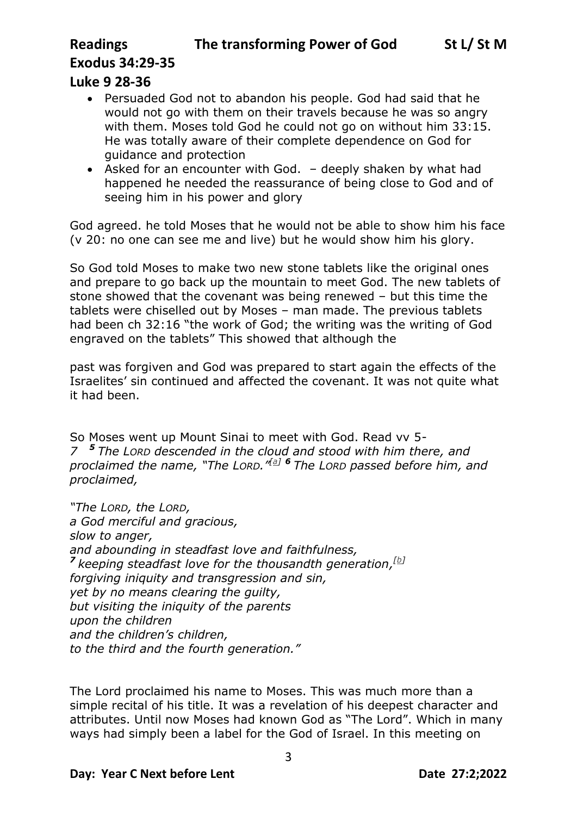### **Exodus 34:29-35**

#### **Luke 9 28-36**

- Persuaded God not to abandon his people. God had said that he would not go with them on their travels because he was so angry with them. Moses told God he could not go on without him 33:15. He was totally aware of their complete dependence on God for guidance and protection
- Asked for an encounter with God. deeply shaken by what had happened he needed the reassurance of being close to God and of seeing him in his power and glory

God agreed. he told Moses that he would not be able to show him his face (v 20: no one can see me and live) but he would show him his glory.

So God told Moses to make two new stone tablets like the original ones and prepare to go back up the mountain to meet God. The new tablets of stone showed that the covenant was being renewed – but this time the tablets were chiselled out by Moses – man made. The previous tablets had been ch 32:16 "the work of God; the writing was the writing of God engraved on the tablets" This showed that although the

past was forgiven and God was prepared to start again the effects of the Israelites' sin continued and affected the covenant. It was not quite what it had been.

So Moses went up Mount Sinai to meet with God. Read vv 5- *7 <sup>5</sup> The LORD descended in the cloud and stood with him there, and proclaimed the name, "The LORD." [\[a\]](https://www.biblegateway.com/passage/?search=Exodus+34&version=NRSV#fen-NRSV-2502a) <sup>6</sup> The LORD passed before him, and proclaimed,*

*"The LORD, the LORD, a God merciful and gracious, slow to anger, and abounding in steadfast love and faithfulness, 7 keeping steadfast love for the thousandth generation, [\[b\]](https://www.biblegateway.com/passage/?search=Exodus+34&version=NRSV#fen-NRSV-2504b) forgiving iniquity and transgression and sin, yet by no means clearing the guilty, but visiting the iniquity of the parents upon the children and the children's children, to the third and the fourth generation."*

The Lord proclaimed his name to Moses. This was much more than a simple recital of his title. It was a revelation of his deepest character and attributes. Until now Moses had known God as "The Lord". Which in many ways had simply been a label for the God of Israel. In this meeting on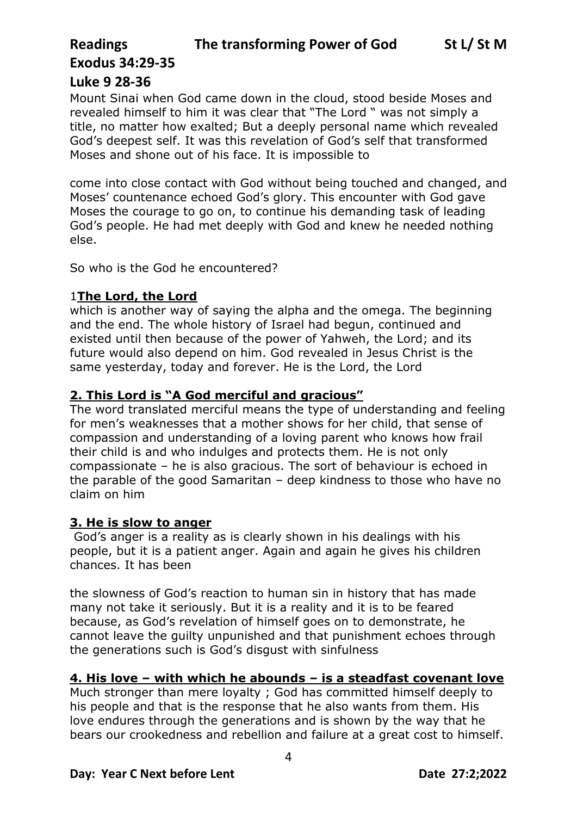# **Exodus 34:29-35**

#### **Luke 9 28-36**

Mount Sinai when God came down in the cloud, stood beside Moses and revealed himself to him it was clear that "The Lord " was not simply a title, no matter how exalted; But a deeply personal name which revealed God's deepest self. It was this revelation of God's self that transformed Moses and shone out of his face. It is impossible to

come into close contact with God without being touched and changed, and Moses' countenance echoed God's glory. This encounter with God gave Moses the courage to go on, to continue his demanding task of leading God's people. He had met deeply with God and knew he needed nothing else.

So who is the God he encountered?

#### 1**The Lord, the Lord**

which is another way of saying the alpha and the omega. The beginning and the end. The whole history of Israel had begun, continued and existed until then because of the power of Yahweh, the Lord; and its future would also depend on him. God revealed in Jesus Christ is the same yesterday, today and forever. He is the Lord, the Lord

#### **2. This Lord is "A God merciful and gracious"**

The word translated merciful means the type of understanding and feeling for men's weaknesses that a mother shows for her child, that sense of compassion and understanding of a loving parent who knows how frail their child is and who indulges and protects them. He is not only compassionate – he is also gracious. The sort of behaviour is echoed in the parable of the good Samaritan – deep kindness to those who have no claim on him

#### **3. He is slow to anger**

God's anger is a reality as is clearly shown in his dealings with his people, but it is a patient anger. Again and again he gives his children chances. It has been

the slowness of God's reaction to human sin in history that has made many not take it seriously. But it is a reality and it is to be feared because, as God's revelation of himself goes on to demonstrate, he cannot leave the guilty unpunished and that punishment echoes through the generations such is God's disgust with sinfulness

#### **4. His love – with which he abounds – is a steadfast covenant love**

Much stronger than mere loyalty ; God has committed himself deeply to his people and that is the response that he also wants from them. His love endures through the generations and is shown by the way that he bears our crookedness and rebellion and failure at a great cost to himself.